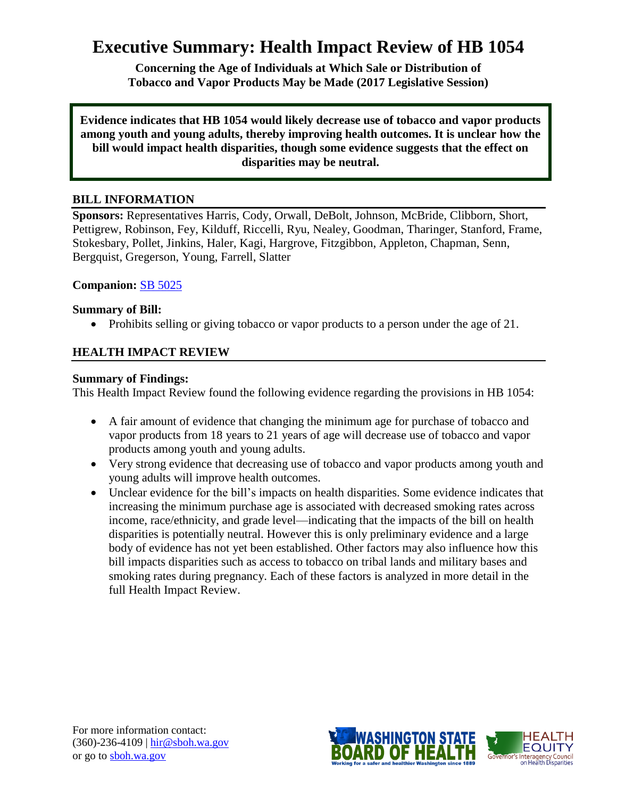# **Executive Summary: Health Impact Review of HB 1054**

**Concerning the Age of Individuals at Which Sale or Distribution of Tobacco and Vapor Products May be Made (2017 Legislative Session)**

**Evidence indicates that HB 1054 would likely decrease use of tobacco and vapor products among youth and young adults, thereby improving health outcomes. It is unclear how the bill would impact health disparities, though some evidence suggests that the effect on disparities may be neutral.**

# **BILL INFORMATION**

**Sponsors:** Representatives Harris, Cody, Orwall, DeBolt, Johnson, McBride, Clibborn, Short, Pettigrew, Robinson, Fey, Kilduff, Riccelli, Ryu, Nealey, Goodman, Tharinger, Stanford, Frame, Stokesbary, Pollet, Jinkins, Haler, Kagi, Hargrove, Fitzgibbon, Appleton, Chapman, Senn, Bergquist, Gregerson, Young, Farrell, Slatter

### **Companion:** [SB 5025](http://app.leg.wa.gov/billsummary?BillNumber=5025&Year=2017)

### **Summary of Bill:**

• Prohibits selling or giving tobacco or vapor products to a person under the age of 21.

# **HEALTH IMPACT REVIEW**

### **Summary of Findings:**

This Health Impact Review found the following evidence regarding the provisions in HB 1054:

- A fair amount of evidence that changing the minimum age for purchase of tobacco and vapor products from 18 years to 21 years of age will decrease use of tobacco and vapor products among youth and young adults.
- Very strong evidence that decreasing use of tobacco and vapor products among youth and young adults will improve health outcomes.
- Unclear evidence for the bill's impacts on health disparities. Some evidence indicates that increasing the minimum purchase age is associated with decreased smoking rates across income, race/ethnicity, and grade level—indicating that the impacts of the bill on health disparities is potentially neutral. However this is only preliminary evidence and a large body of evidence has not yet been established. Other factors may also influence how this bill impacts disparities such as access to tobacco on tribal lands and military bases and smoking rates during pregnancy. Each of these factors is analyzed in more detail in the full Health Impact Review.

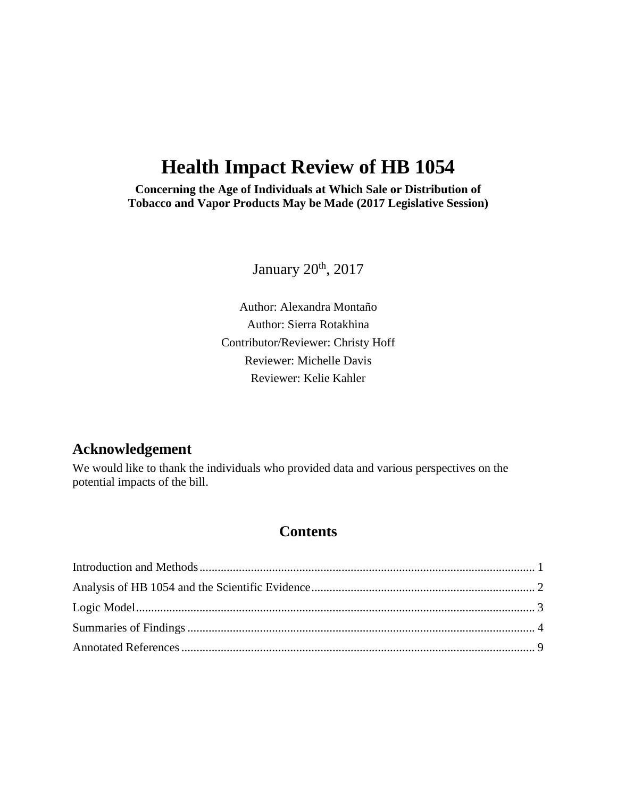# **Health Impact Review of HB 1054**

**Concerning the Age of Individuals at Which Sale or Distribution of Tobacco and Vapor Products May be Made (2017 Legislative Session)**

January 20<sup>th</sup>, 2017

Author: Alexandra Montaño Author: Sierra Rotakhina Contributor/Reviewer: Christy Hoff Reviewer: Michelle Davis Reviewer: Kelie Kahler

# **Acknowledgement**

We would like to thank the individuals who provided data and various perspectives on the potential impacts of the bill.

# **Contents**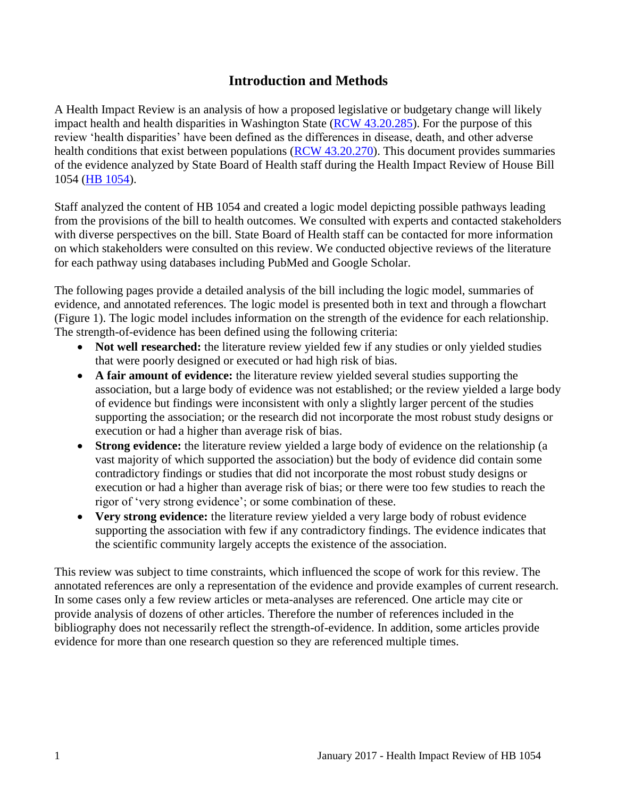# **Introduction and Methods**

<span id="page-2-0"></span>A Health Impact Review is an analysis of how a proposed legislative or budgetary change will likely impact health and health disparities in Washington State [\(RCW 43.20.285\)](http://apps.leg.wa.gov/rcw/default.aspx?cite=43.20.285). For the purpose of this review 'health disparities' have been defined as the differences in disease, death, and other adverse health conditions that exist between populations [\(RCW 43.20.270\)](http://apps.leg.wa.gov/rcw/default.aspx?cite=43.20.270). This document provides summaries of the evidence analyzed by State Board of Health staff during the Health Impact Review of House Bill 1054 [\(HB 1054\)](http://app.leg.wa.gov/billsummary?BillNumber=1054&Year=2017).

Staff analyzed the content of HB 1054 and created a logic model depicting possible pathways leading from the provisions of the bill to health outcomes. We consulted with experts and contacted stakeholders with diverse perspectives on the bill. State Board of Health staff can be contacted for more information on which stakeholders were consulted on this review. We conducted objective reviews of the literature for each pathway using databases including PubMed and Google Scholar.

The following pages provide a detailed analysis of the bill including the logic model, summaries of evidence, and annotated references. The logic model is presented both in text and through a flowchart (Figure 1). The logic model includes information on the strength of the evidence for each relationship. The strength-of-evidence has been defined using the following criteria:

- Not well researched: the literature review yielded few if any studies or only yielded studies that were poorly designed or executed or had high risk of bias.
- **A fair amount of evidence:** the literature review yielded several studies supporting the association, but a large body of evidence was not established; or the review yielded a large body of evidence but findings were inconsistent with only a slightly larger percent of the studies supporting the association; or the research did not incorporate the most robust study designs or execution or had a higher than average risk of bias.
- **Strong evidence:** the literature review yielded a large body of evidence on the relationship (a vast majority of which supported the association) but the body of evidence did contain some contradictory findings or studies that did not incorporate the most robust study designs or execution or had a higher than average risk of bias; or there were too few studies to reach the rigor of 'very strong evidence'; or some combination of these.
- **Very strong evidence:** the literature review yielded a very large body of robust evidence supporting the association with few if any contradictory findings. The evidence indicates that the scientific community largely accepts the existence of the association.

This review was subject to time constraints, which influenced the scope of work for this review. The annotated references are only a representation of the evidence and provide examples of current research. In some cases only a few review articles or meta-analyses are referenced. One article may cite or provide analysis of dozens of other articles. Therefore the number of references included in the bibliography does not necessarily reflect the strength-of-evidence. In addition, some articles provide evidence for more than one research question so they are referenced multiple times.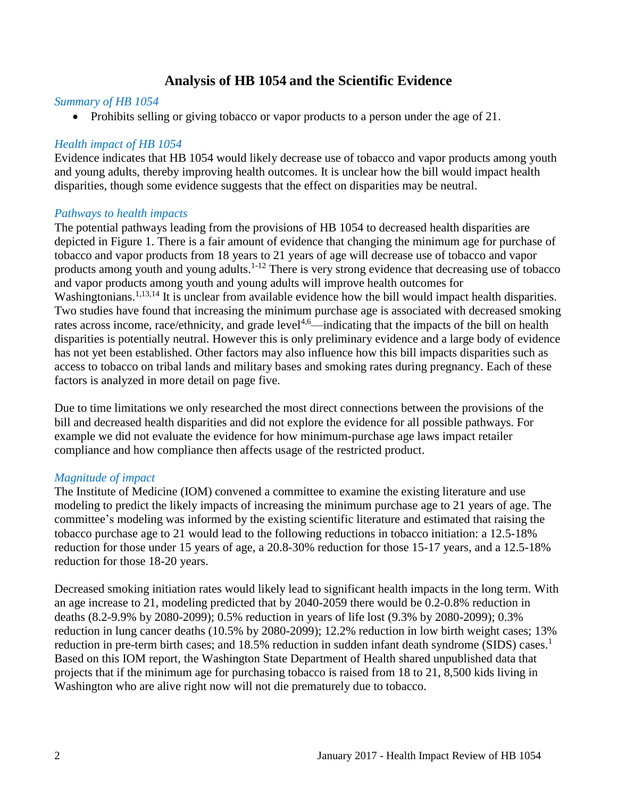# **Analysis of HB 1054 and the Scientific Evidence**

#### <span id="page-3-0"></span>*Summary of HB 1054*

• Prohibits selling or giving tobacco or vapor products to a person under the age of 21.

### *Health impact of HB 1054*

Evidence indicates that HB 1054 would likely decrease use of tobacco and vapor products among youth and young adults, thereby improving health outcomes. It is unclear how the bill would impact health disparities, though some evidence suggests that the effect on disparities may be neutral.

### *Pathways to health impacts*

The potential pathways leading from the provisions of HB 1054 to decreased health disparities are depicted in Figure 1. There is a fair amount of evidence that changing the minimum age for purchase of tobacco and vapor products from 18 years to 21 years of age will decrease use of tobacco and vapor products among youth and young adults.<sup>[1-12](#page-10-1)</sup> There is very strong evidence that decreasing use of tobacco and vapor products among youth and young adults will improve health outcomes for Washingtonians.<sup>[1,](#page-10-1)[13,](#page-16-0)[14](#page-16-1)</sup> It is unclear from available evidence how the bill would impact health disparities. Two studies have found that increasing the minimum purchase age is associated with decreased smoking rates across income, race/ethnicity, and grade level<sup>[4,](#page-11-0)[6](#page-12-0)</sup>—indicating that the impacts of the bill on health disparities is potentially neutral. However this is only preliminary evidence and a large body of evidence has not yet been established. Other factors may also influence how this bill impacts disparities such as access to tobacco on tribal lands and military bases and smoking rates during pregnancy. Each of these factors is analyzed in more detail on page five.

Due to time limitations we only researched the most direct connections between the provisions of the bill and decreased health disparities and did not explore the evidence for all possible pathways. For example we did not evaluate the evidence for how minimum-purchase age laws impact retailer compliance and how compliance then affects usage of the restricted product.

# *Magnitude of impact*

The Institute of Medicine (IOM) convened a committee to examine the existing literature and use modeling to predict the likely impacts of increasing the minimum purchase age to 21 years of age. The committee's modeling was informed by the existing scientific literature and estimated that raising the tobacco purchase age to 21 would lead to the following reductions in tobacco initiation: a 12.5-18% reduction for those under 15 years of age, a 20.8-30% reduction for those 15-17 years, and a 12.5-18% reduction for those 18-20 years.

Decreased smoking initiation rates would likely lead to significant health impacts in the long term. With an age increase to 21, modeling predicted that by 2040-2059 there would be 0.2-0.8% reduction in deaths (8.2-9.9% by 2080-2099); 0.5% reduction in years of life lost (9.3% by 2080-2099); 0.3% reduction in lung cancer deaths (10.5% by 2080-2099); 12.2% reduction in low birth weight cases; 13% reduction in pre-term birth cases; and  $18.5\%$  $18.5\%$  reduction in sudden infant death syndrome (SIDS) cases.<sup>1</sup> Based on this IOM report, the Washington State Department of Health shared unpublished data that projects that if the minimum age for purchasing tobacco is raised from 18 to 21, 8,500 kids living in Washington who are alive right now will not die prematurely due to tobacco.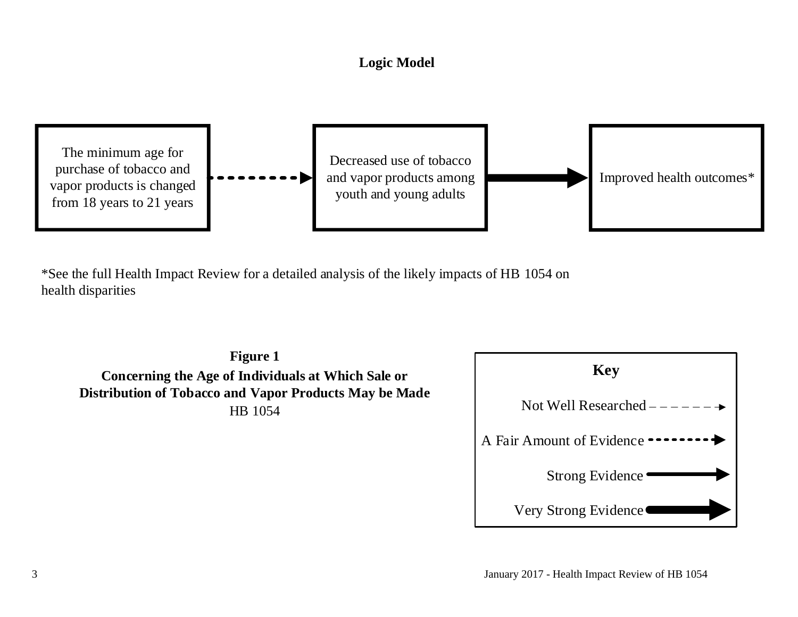# **Logic Model**



<span id="page-4-0"></span>\*See the full Health Impact Review for a detailed analysis of the likely impacts of HB 1054 on health disparities

**Figure 1 Concerning the Age of Individuals at Which Sale or Distribution of Tobacco and Vapor Products May be Made** HB 1054

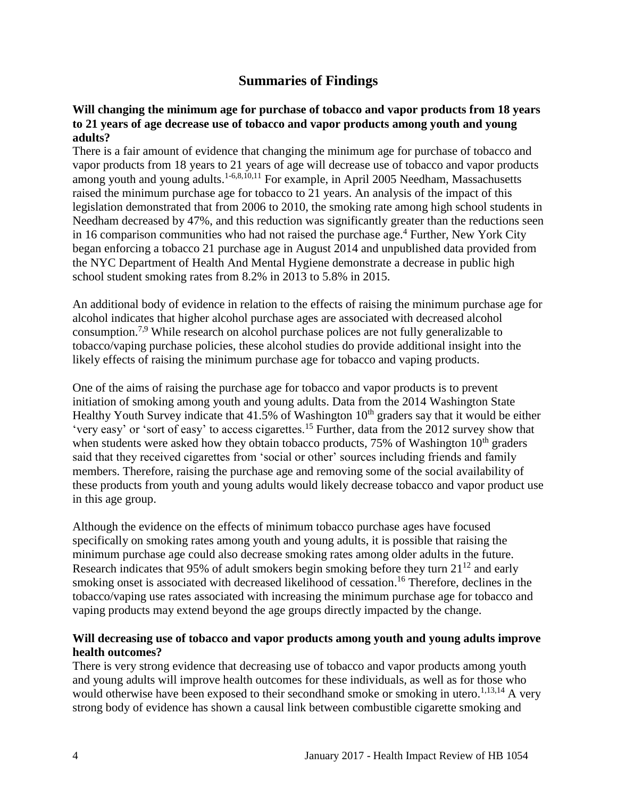# **Summaries of Findings**

#### <span id="page-5-0"></span>**Will changing the minimum age for purchase of tobacco and vapor products from 18 years to 21 years of age decrease use of tobacco and vapor products among youth and young adults?**

There is a fair amount of evidence that changing the minimum age for purchase of tobacco and vapor products from 18 years to 21 years of age will decrease use of tobacco and vapor products among youth and young adults.<sup>[1-6,](#page-10-1)[8,](#page-13-0)[10,](#page-15-0)[11](#page-15-1)</sup> For example, in April 2005 Needham, Massachusetts raised the minimum purchase age for tobacco to 21 years. An analysis of the impact of this legislation demonstrated that from 2006 to 2010, the smoking rate among high school students in Needham decreased by 47%, and this reduction was significantly greater than the reductions seen in 16 comparison communities who had not raised the purchase age.<sup>[4](#page-11-0)</sup> Further, New York City began enforcing a tobacco 21 purchase age in August 2014 and unpublished data provided from the NYC Department of Health And Mental Hygiene demonstrate a decrease in public high school student smoking rates from 8.2% in 2013 to 5.8% in 2015.

An additional body of evidence in relation to the effects of raising the minimum purchase age for alcohol indicates that higher alcohol purchase ages are associated with decreased alcohol consumption.[7](#page-13-1)[,9](#page-14-0) While research on alcohol purchase polices are not fully generalizable to tobacco/vaping purchase policies, these alcohol studies do provide additional insight into the likely effects of raising the minimum purchase age for tobacco and vaping products.

One of the aims of raising the purchase age for tobacco and vapor products is to prevent initiation of smoking among youth and young adults. Data from the 2014 Washington State Healthy Youth Survey indicate that  $41.5\%$  of Washington  $10<sup>th</sup>$  graders say that it would be either 'very easy' or 'sort of easy' to access cigarettes.[15](#page-17-0) Further, data from the 2012 survey show that when students were asked how they obtain tobacco products,  $75\%$  of Washington  $10<sup>th</sup>$  graders said that they received cigarettes from 'social or other' sources including friends and family members. Therefore, raising the purchase age and removing some of the social availability of these products from youth and young adults would likely decrease tobacco and vapor product use in this age group.

Although the evidence on the effects of minimum tobacco purchase ages have focused specifically on smoking rates among youth and young adults, it is possible that raising the minimum purchase age could also decrease smoking rates among older adults in the future. Research indicates that 95% of adult smokers begin smoking before they turn  $21^{12}$  $21^{12}$  $21^{12}$  and early smoking onset is associated with decreased likelihood of cessation. [16](#page-18-0) Therefore, declines in the tobacco/vaping use rates associated with increasing the minimum purchase age for tobacco and vaping products may extend beyond the age groups directly impacted by the change.

#### **Will decreasing use of tobacco and vapor products among youth and young adults improve health outcomes?**

There is very strong evidence that decreasing use of tobacco and vapor products among youth and young adults will improve health outcomes for these individuals, as well as for those who would otherwise have been exposed to their secondhand smoke or smoking in utero.<sup>[1](#page-10-1)[,13](#page-16-0)[,14](#page-16-1)</sup> A very strong body of evidence has shown a causal link between combustible cigarette smoking and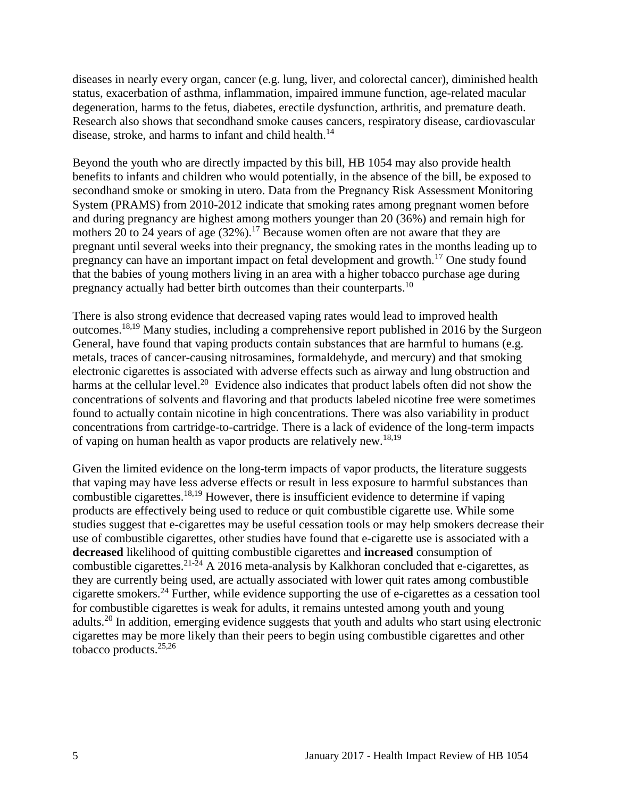diseases in nearly every organ, cancer (e.g. lung, liver, and colorectal cancer), diminished health status, exacerbation of asthma, inflammation, impaired immune function, age-related macular degeneration, harms to the fetus, diabetes, erectile dysfunction, arthritis, and premature death. Research also shows that secondhand smoke causes cancers, respiratory disease, cardiovascular disease, stroke, and harms to infant and child health.<sup>[14](#page-16-1)</sup>

Beyond the youth who are directly impacted by this bill, HB 1054 may also provide health benefits to infants and children who would potentially, in the absence of the bill, be exposed to secondhand smoke or smoking in utero. Data from the Pregnancy Risk Assessment Monitoring System (PRAMS) from 2010-2012 indicate that smoking rates among pregnant women before and during pregnancy are highest among mothers younger than 20 (36%) and remain high for mothers 20 to 24 years of age  $(32%)$ .<sup>[17](#page-18-1)</sup> Because women often are not aware that they are pregnant until several weeks into their pregnancy, the smoking rates in the months leading up to pregnancy can have an important impact on fetal development and growth.[17](#page-18-1) One study found that the babies of young mothers living in an area with a higher tobacco purchase age during pregnancy actually had better birth outcomes than their counterparts.<sup>[10](#page-15-0)</sup>

There is also strong evidence that decreased vaping rates would lead to improved health outcomes.[18](#page-19-0)[,19](#page-19-1) Many studies, including a comprehensive report published in 2016 by the Surgeon General, have found that vaping products contain substances that are harmful to humans (e.g. metals, traces of cancer-causing nitrosamines, formaldehyde, and mercury) and that smoking electronic cigarettes is associated with adverse effects such as airway and lung obstruction and harms at the cellular level.<sup>[20](#page-20-0)</sup> Evidence also indicates that product labels often did not show the concentrations of solvents and flavoring and that products labeled nicotine free were sometimes found to actually contain nicotine in high concentrations. There was also variability in product concentrations from cartridge-to-cartridge. There is a lack of evidence of the long-term impacts of vaping on human health as vapor products are relatively new.[18](#page-19-0)[,19](#page-19-1)

Given the limited evidence on the long-term impacts of vapor products, the literature suggests that vaping may have less adverse effects or result in less exposure to harmful substances than combustible cigarettes.<sup>[18,](#page-19-0)[19](#page-19-1)</sup> However, there is insufficient evidence to determine if vaping products are effectively being used to reduce or quit combustible cigarette use. While some studies suggest that e-cigarettes may be useful cessation tools or may help smokers decrease their use of combustible cigarettes, other studies have found that e-cigarette use is associated with a **decreased** likelihood of quitting combustible cigarettes and **increased** consumption of combustible cigarettes.<sup>[21-24](#page-20-1)</sup> A 2016 meta-analysis by Kalkhoran concluded that e-cigarettes, as they are currently being used, are actually associated with lower quit rates among combustible cigarette smokers.[24](#page-21-0) Further, while evidence supporting the use of e-cigarettes as a cessation tool for combustible cigarettes is weak for adults, it remains untested among youth and young adults.[20](#page-20-0) In addition, emerging evidence suggests that youth and adults who start using electronic cigarettes may be more likely than their peers to begin using combustible cigarettes and other tobacco products.[25,](#page-22-0)[26](#page-22-1)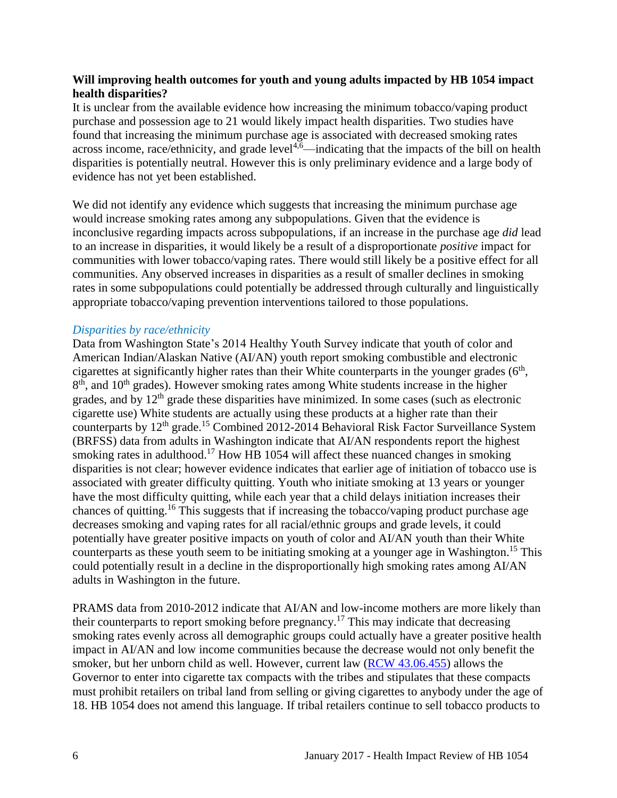#### **Will improving health outcomes for youth and young adults impacted by HB 1054 impact health disparities?**

It is unclear from the available evidence how increasing the minimum tobacco/vaping product purchase and possession age to 21 would likely impact health disparities. Two studies have found that increasing the minimum purchase age is associated with decreased smoking rates across income, race/ethnicity, and grade level<sup>[4](#page-11-0)[,6](#page-12-0)</sup>—indicating that the impacts of the bill on health disparities is potentially neutral. However this is only preliminary evidence and a large body of evidence has not yet been established.

We did not identify any evidence which suggests that increasing the minimum purchase age would increase smoking rates among any subpopulations. Given that the evidence is inconclusive regarding impacts across subpopulations, if an increase in the purchase age *did* lead to an increase in disparities, it would likely be a result of a disproportionate *positive* impact for communities with lower tobacco/vaping rates. There would still likely be a positive effect for all communities. Any observed increases in disparities as a result of smaller declines in smoking rates in some subpopulations could potentially be addressed through culturally and linguistically appropriate tobacco/vaping prevention interventions tailored to those populations.

#### *Disparities by race/ethnicity*

Data from Washington State's 2014 Healthy Youth Survey indicate that youth of color and American Indian/Alaskan Native (AI/AN) youth report smoking combustible and electronic cigarettes at significantly higher rates than their White counterparts in the younger grades  $(6<sup>th</sup>$ , 8<sup>th</sup>, and 10<sup>th</sup> grades). However smoking rates among White students increase in the higher grades, and by  $12<sup>th</sup>$  grade these disparities have minimized. In some cases (such as electronic cigarette use) White students are actually using these products at a higher rate than their counterparts by 12<sup>th</sup> grade.<sup>[15](#page-17-0)</sup> Combined 2012-2014 Behavioral Risk Factor Surveillance System (BRFSS) data from adults in Washington indicate that AI/AN respondents report the highest smoking rates in adulthood.<sup>[17](#page-18-1)</sup> How HB 1054 will affect these nuanced changes in smoking disparities is not clear; however evidence indicates that earlier age of initiation of tobacco use is associated with greater difficulty quitting. Youth who initiate smoking at 13 years or younger have the most difficulty quitting, while each year that a child delays initiation increases their chances of quitting.<sup>[16](#page-18-0)</sup> This suggests that if increasing the tobacco/vaping product purchase age decreases smoking and vaping rates for all racial/ethnic groups and grade levels, it could potentially have greater positive impacts on youth of color and AI/AN youth than their White counterparts as these youth seem to be initiating smoking at a younger age in Washington. [15](#page-17-0) This could potentially result in a decline in the disproportionally high smoking rates among AI/AN adults in Washington in the future.

PRAMS data from 2010-2012 indicate that AI/AN and low-income mothers are more likely than their counterparts to report smoking before pregnancy.<sup>[17](#page-18-1)</sup> This may indicate that decreasing smoking rates evenly across all demographic groups could actually have a greater positive health impact in AI/AN and low income communities because the decrease would not only benefit the smoker, but her unborn child as well. However, current law [\(RCW 43.06.455\)](http://apps.leg.wa.gov/rcw/default.aspx?cite=43.06.455) allows the Governor to enter into cigarette tax compacts with the tribes and stipulates that these compacts must prohibit retailers on tribal land from selling or giving cigarettes to anybody under the age of 18. HB 1054 does not amend this language. If tribal retailers continue to sell tobacco products to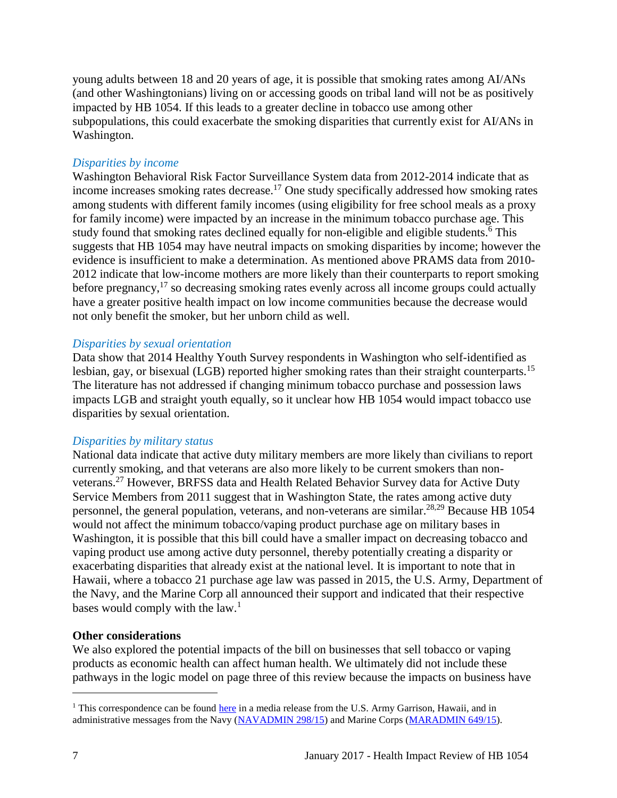young adults between 18 and 20 years of age, it is possible that smoking rates among AI/ANs (and other Washingtonians) living on or accessing goods on tribal land will not be as positively impacted by HB 1054. If this leads to a greater decline in tobacco use among other subpopulations, this could exacerbate the smoking disparities that currently exist for AI/ANs in Washington.

#### *Disparities by income*

Washington Behavioral Risk Factor Surveillance System data from 2012-2014 indicate that as income increases smoking rates decrease.<sup>[17](#page-18-1)</sup> One study specifically addressed how smoking rates among students with different family incomes (using eligibility for free school meals as a proxy for family income) were impacted by an increase in the minimum tobacco purchase age. This study found that smoking rates declined equally for non-eligible and eligible students[.](#page-12-0)<sup>6</sup> This suggests that HB 1054 may have neutral impacts on smoking disparities by income; however the evidence is insufficient to make a determination. As mentioned above PRAMS data from 2010- 2012 indicate that low-income mothers are more likely than their counterparts to report smoking before pregnancy,<sup>[17](#page-18-1)</sup> so decreasing smoking rates evenly across all income groups could actually have a greater positive health impact on low income communities because the decrease would not only benefit the smoker, but her unborn child as well.

#### *Disparities by sexual orientation*

Data show that 2014 Healthy Youth Survey respondents in Washington who self-identified as lesbian, gay, or bisexual (LGB) reported higher smoking rates than their straight counterparts.<sup>[15](#page-17-0)</sup> The literature has not addressed if changing minimum tobacco purchase and possession laws impacts LGB and straight youth equally, so it unclear how HB 1054 would impact tobacco use disparities by sexual orientation.

### *Disparities by military status*

National data indicate that active duty military members are more likely than civilians to report currently smoking, and that veterans are also more likely to be current smokers than nonveterans.[27](#page-22-2) However, BRFSS data and Health Related Behavior Survey data for Active Duty Service Members from 2011 suggest that in Washington State, the rates among active duty personnel, the general population, veterans, and non-veterans are similar.<sup>[28](#page-23-0)[,29](#page-23-1)</sup> Because HB 1054 would not affect the minimum tobacco/vaping product purchase age on military bases in Washington, it is possible that this bill could have a smaller impact on decreasing tobacco and vaping product use among active duty personnel, thereby potentially creating a disparity or exacerbating disparities that already exist at the national level. It is important to note that in Hawaii, where a tobacco 21 purchase age law was passed in 2015, the U.S. Army, Department of the Navy, and the Marine Corp all announced their support and indicated that their respective bases would comply with the law.<sup>1</sup>

#### **Other considerations**

We also explored the potential impacts of the bill on businesses that sell tobacco or vaping products as economic health can affect human health. We ultimately did not include these pathways in the logic model on page three of this review because the impacts on business have

l

 $1$ <sup>1</sup> This correspondence can be found [here](https://www.garrison.hawaii.army.mil/pao/mr2015/MR_2015-12-02_ArmyToComplyWithStateSmokingLaw_FINAL.pdfhttps:/www.garrison.hawaii.army.mil/pao/mr2015/MR_2015-12-02_ArmyToComplyWithStateSmokingLaw_FINAL.pdf) in a media release from the U.S. Army Garrison, Hawaii, and in administrative messages from the Navy [\(NAVADMIN 298/15\)](https://www.navyreserve.navy.mil/Documents/Hot%20Topics%20Holding%20Folder/NAVADMIN%20298_15%20NOTICE%20OF%20HAWAII%20RAISING%20SMOKING%20AGE%20TO%2021%20EFFECTIVE%201%20JAN%2016.pdf) and Marine Corps [\(MARADMIN 649/15\)](http://www.marines.mil/mobile_noteused/MARADMINS/View/Article/175678/notice-of-hawaii-raising-smoking-age-to-21-effective-1-january-2016/).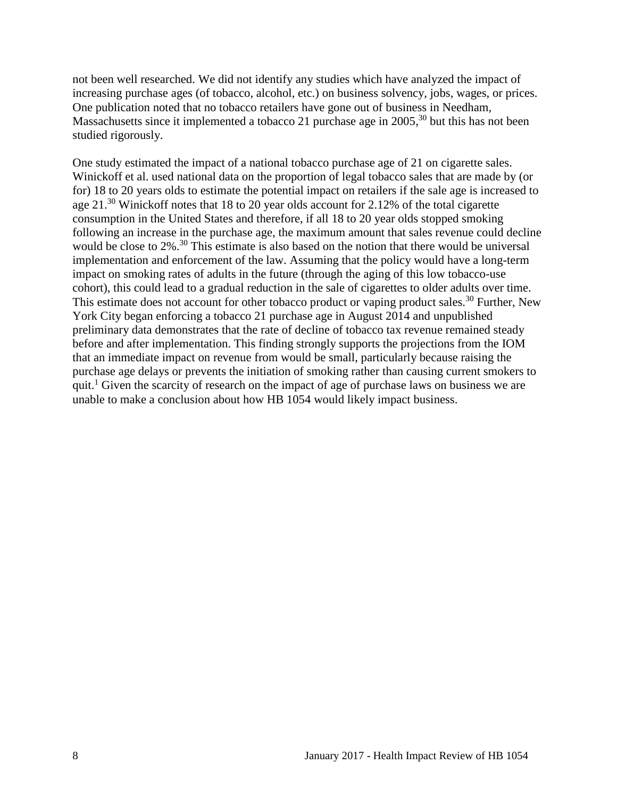not been well researched. We did not identify any studies which have analyzed the impact of increasing purchase ages (of tobacco, alcohol, etc.) on business solvency, jobs, wages, or prices. One publication noted that no tobacco retailers have gone out of business in Needham, Massachusetts since it implemented a tobacco 21 purchase age in 2005,<sup>[30](#page-23-2)</sup> but this has not been studied rigorously.

One study estimated the impact of a national tobacco purchase age of 21 on cigarette sales. Winickoff et al. used national data on the proportion of legal tobacco sales that are made by (or for) 18 to 20 years olds to estimate the potential impact on retailers if the sale age is increased to age 21.<sup>[30](#page-23-2)</sup> Winickoff notes that 18 to 20 year olds account for 2.12% of the total cigarette consumption in the United States and therefore, if all 18 to 20 year olds stopped smoking following an increase in the purchase age, the maximum amount that sales revenue could decline would be close to 2%.<sup>[30](#page-23-2)</sup> This estimate is also based on the notion that there would be universal implementation and enforcement of the law. Assuming that the policy would have a long-term impact on smoking rates of adults in the future (through the aging of this low tobacco-use cohort), this could lead to a gradual reduction in the sale of cigarettes to older adults over time. This estimate does not account for other tobacco product or vaping product sales.<sup>[30](#page-23-2)</sup> Further, New York City began enforcing a tobacco 21 purchase age in August 2014 and unpublished preliminary data demonstrates that the rate of decline of tobacco tax revenue remained steady before and after implementation. This finding strongly supports the projections from the IOM that an immediate impact on revenue from would be small, particularly because raising the purchase age delays or prevents the initiation of smoking rather than causing current smokers to quit.<sup>1</sup> Given the scarcity of research on the impact of age of purchase laws on business we are unable to make a conclusion about how HB 1054 would likely impact business.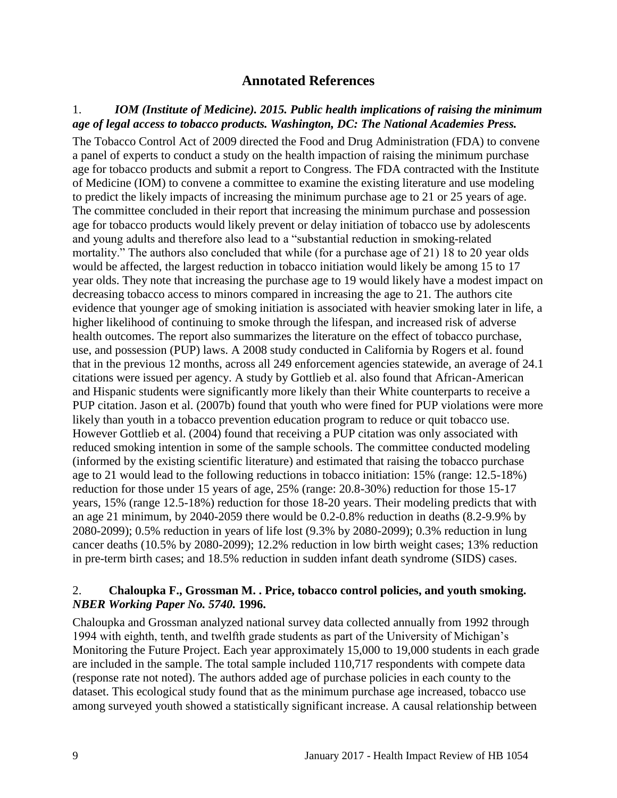# **Annotated References**

### <span id="page-10-1"></span><span id="page-10-0"></span>1.*IOM (Institute of Medicine). 2015. Public health implications of raising the minimum age of legal access to tobacco products. Washington, DC: The National Academies Press.*

The Tobacco Control Act of 2009 directed the Food and Drug Administration (FDA) to convene a panel of experts to conduct a study on the health impaction of raising the minimum purchase age for tobacco products and submit a report to Congress. The FDA contracted with the Institute of Medicine (IOM) to convene a committee to examine the existing literature and use modeling to predict the likely impacts of increasing the minimum purchase age to 21 or 25 years of age. The committee concluded in their report that increasing the minimum purchase and possession age for tobacco products would likely prevent or delay initiation of tobacco use by adolescents and young adults and therefore also lead to a "substantial reduction in smoking-related mortality." The authors also concluded that while (for a purchase age of 21) 18 to 20 year olds would be affected, the largest reduction in tobacco initiation would likely be among 15 to 17 year olds. They note that increasing the purchase age to 19 would likely have a modest impact on decreasing tobacco access to minors compared in increasing the age to 21. The authors cite evidence that younger age of smoking initiation is associated with heavier smoking later in life, a higher likelihood of continuing to smoke through the lifespan, and increased risk of adverse health outcomes. The report also summarizes the literature on the effect of tobacco purchase, use, and possession (PUP) laws. A 2008 study conducted in California by Rogers et al. found that in the previous 12 months, across all 249 enforcement agencies statewide, an average of 24.1 citations were issued per agency. A study by Gottlieb et al. also found that African-American and Hispanic students were significantly more likely than their White counterparts to receive a PUP citation. Jason et al. (2007b) found that youth who were fined for PUP violations were more likely than youth in a tobacco prevention education program to reduce or quit tobacco use. However Gottlieb et al. (2004) found that receiving a PUP citation was only associated with reduced smoking intention in some of the sample schools. The committee conducted modeling (informed by the existing scientific literature) and estimated that raising the tobacco purchase age to 21 would lead to the following reductions in tobacco initiation: 15% (range: 12.5-18%) reduction for those under 15 years of age, 25% (range: 20.8-30%) reduction for those 15-17 years, 15% (range 12.5-18%) reduction for those 18-20 years. Their modeling predicts that with an age 21 minimum, by 2040-2059 there would be 0.2-0.8% reduction in deaths (8.2-9.9% by 2080-2099); 0.5% reduction in years of life lost (9.3% by 2080-2099); 0.3% reduction in lung cancer deaths (10.5% by 2080-2099); 12.2% reduction in low birth weight cases; 13% reduction in pre-term birth cases; and 18.5% reduction in sudden infant death syndrome (SIDS) cases.

### 2. **Chaloupka F., Grossman M. . Price, tobacco control policies, and youth smoking.**  *NBER Working Paper No. 5740.* **1996.**

Chaloupka and Grossman analyzed national survey data collected annually from 1992 through 1994 with eighth, tenth, and twelfth grade students as part of the University of Michigan's Monitoring the Future Project. Each year approximately 15,000 to 19,000 students in each grade are included in the sample. The total sample included 110,717 respondents with compete data (response rate not noted). The authors added age of purchase policies in each county to the dataset. This ecological study found that as the minimum purchase age increased, tobacco use among surveyed youth showed a statistically significant increase. A causal relationship between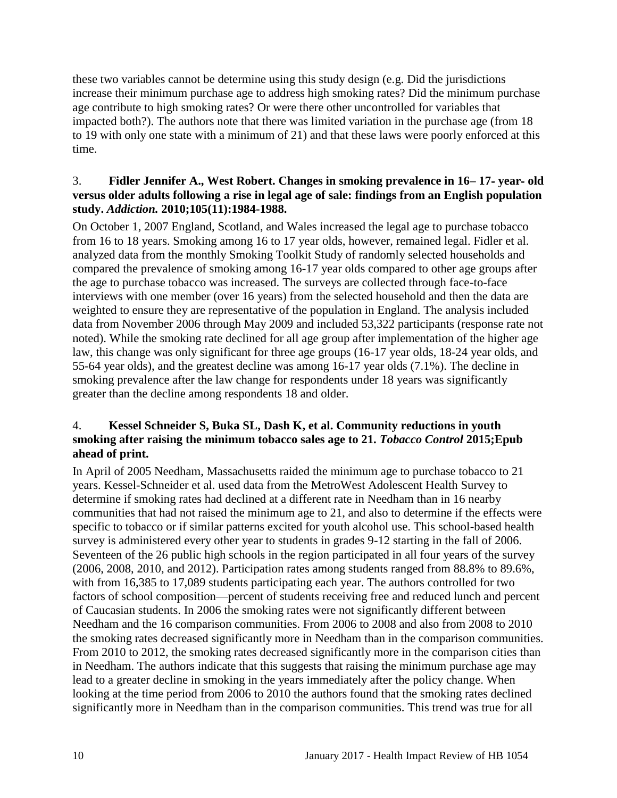these two variables cannot be determine using this study design (e.g. Did the jurisdictions increase their minimum purchase age to address high smoking rates? Did the minimum purchase age contribute to high smoking rates? Or were there other uncontrolled for variables that impacted both?). The authors note that there was limited variation in the purchase age (from 18 to 19 with only one state with a minimum of 21) and that these laws were poorly enforced at this time.

#### 3. **Fidler Jennifer A., West Robert. Changes in smoking prevalence in 16– 17**‐ **year**‐ **old versus older adults following a rise in legal age of sale: findings from an English population study.** *Addiction.* **2010;105(11):1984-1988.**

On October 1, 2007 England, Scotland, and Wales increased the legal age to purchase tobacco from 16 to 18 years. Smoking among 16 to 17 year olds, however, remained legal. Fidler et al. analyzed data from the monthly Smoking Toolkit Study of randomly selected households and compared the prevalence of smoking among 16-17 year olds compared to other age groups after the age to purchase tobacco was increased. The surveys are collected through face-to-face interviews with one member (over 16 years) from the selected household and then the data are weighted to ensure they are representative of the population in England. The analysis included data from November 2006 through May 2009 and included 53,322 participants (response rate not noted). While the smoking rate declined for all age group after implementation of the higher age law, this change was only significant for three age groups (16-17 year olds, 18-24 year olds, and 55-64 year olds), and the greatest decline was among 16-17 year olds (7.1%). The decline in smoking prevalence after the law change for respondents under 18 years was significantly greater than the decline among respondents 18 and older.

# <span id="page-11-0"></span>4. **Kessel Schneider S, Buka SL, Dash K, et al. Community reductions in youth smoking after raising the minimum tobacco sales age to 21.** *Tobacco Control* **2015;Epub ahead of print.**

In April of 2005 Needham, Massachusetts raided the minimum age to purchase tobacco to 21 years. Kessel-Schneider et al. used data from the MetroWest Adolescent Health Survey to determine if smoking rates had declined at a different rate in Needham than in 16 nearby communities that had not raised the minimum age to 21, and also to determine if the effects were specific to tobacco or if similar patterns excited for youth alcohol use. This school-based health survey is administered every other year to students in grades 9-12 starting in the fall of 2006. Seventeen of the 26 public high schools in the region participated in all four years of the survey (2006, 2008, 2010, and 2012). Participation rates among students ranged from 88.8% to 89.6%, with from 16,385 to 17,089 students participating each year. The authors controlled for two factors of school composition—percent of students receiving free and reduced lunch and percent of Caucasian students. In 2006 the smoking rates were not significantly different between Needham and the 16 comparison communities. From 2006 to 2008 and also from 2008 to 2010 the smoking rates decreased significantly more in Needham than in the comparison communities. From 2010 to 2012, the smoking rates decreased significantly more in the comparison cities than in Needham. The authors indicate that this suggests that raising the minimum purchase age may lead to a greater decline in smoking in the years immediately after the policy change. When looking at the time period from 2006 to 2010 the authors found that the smoking rates declined significantly more in Needham than in the comparison communities. This trend was true for all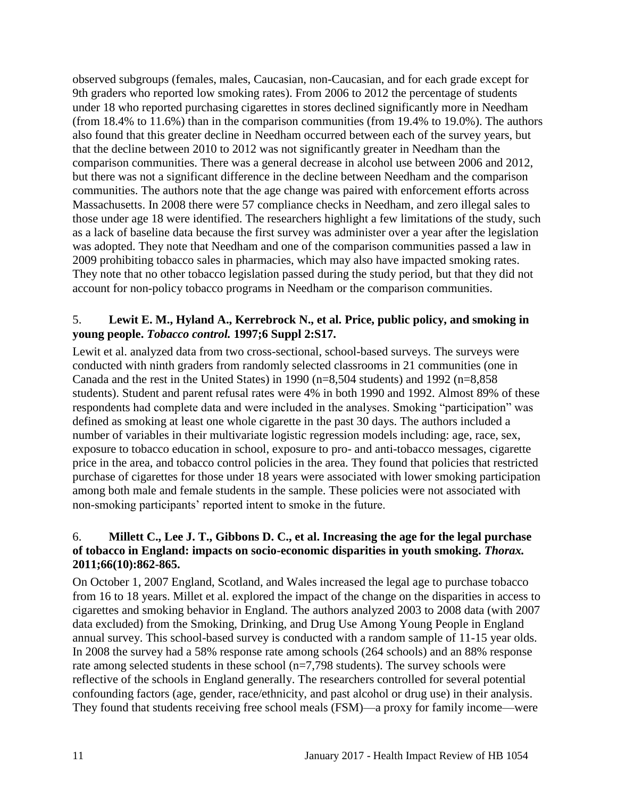observed subgroups (females, males, Caucasian, non-Caucasian, and for each grade except for 9th graders who reported low smoking rates). From 2006 to 2012 the percentage of students under 18 who reported purchasing cigarettes in stores declined significantly more in Needham (from 18.4% to 11.6%) than in the comparison communities (from 19.4% to 19.0%). The authors also found that this greater decline in Needham occurred between each of the survey years, but that the decline between 2010 to 2012 was not significantly greater in Needham than the comparison communities. There was a general decrease in alcohol use between 2006 and 2012, but there was not a significant difference in the decline between Needham and the comparison communities. The authors note that the age change was paired with enforcement efforts across Massachusetts. In 2008 there were 57 compliance checks in Needham, and zero illegal sales to those under age 18 were identified. The researchers highlight a few limitations of the study, such as a lack of baseline data because the first survey was administer over a year after the legislation was adopted. They note that Needham and one of the comparison communities passed a law in 2009 prohibiting tobacco sales in pharmacies, which may also have impacted smoking rates. They note that no other tobacco legislation passed during the study period, but that they did not account for non-policy tobacco programs in Needham or the comparison communities.

### 5. **Lewit E. M., Hyland A., Kerrebrock N., et al. Price, public policy, and smoking in young people.** *Tobacco control.* **1997;6 Suppl 2:S17.**

Lewit et al. analyzed data from two cross-sectional, school-based surveys. The surveys were conducted with ninth graders from randomly selected classrooms in 21 communities (one in Canada and the rest in the United States) in 1990 ( $n=8,504$  students) and 1992 ( $n=8,858$ students). Student and parent refusal rates were 4% in both 1990 and 1992. Almost 89% of these respondents had complete data and were included in the analyses. Smoking "participation" was defined as smoking at least one whole cigarette in the past 30 days. The authors included a number of variables in their multivariate logistic regression models including: age, race, sex, exposure to tobacco education in school, exposure to pro- and anti-tobacco messages, cigarette price in the area, and tobacco control policies in the area. They found that policies that restricted purchase of cigarettes for those under 18 years were associated with lower smoking participation among both male and female students in the sample. These policies were not associated with non-smoking participants' reported intent to smoke in the future.

# <span id="page-12-0"></span>6. **Millett C., Lee J. T., Gibbons D. C., et al. Increasing the age for the legal purchase of tobacco in England: impacts on socio-economic disparities in youth smoking.** *Thorax.*  **2011;66(10):862-865.**

On October 1, 2007 England, Scotland, and Wales increased the legal age to purchase tobacco from 16 to 18 years. Millet et al. explored the impact of the change on the disparities in access to cigarettes and smoking behavior in England. The authors analyzed 2003 to 2008 data (with 2007 data excluded) from the Smoking, Drinking, and Drug Use Among Young People in England annual survey. This school-based survey is conducted with a random sample of 11-15 year olds. In 2008 the survey had a 58% response rate among schools (264 schools) and an 88% response rate among selected students in these school (n=7,798 students). The survey schools were reflective of the schools in England generally. The researchers controlled for several potential confounding factors (age, gender, race/ethnicity, and past alcohol or drug use) in their analysis. They found that students receiving free school meals (FSM)—a proxy for family income—were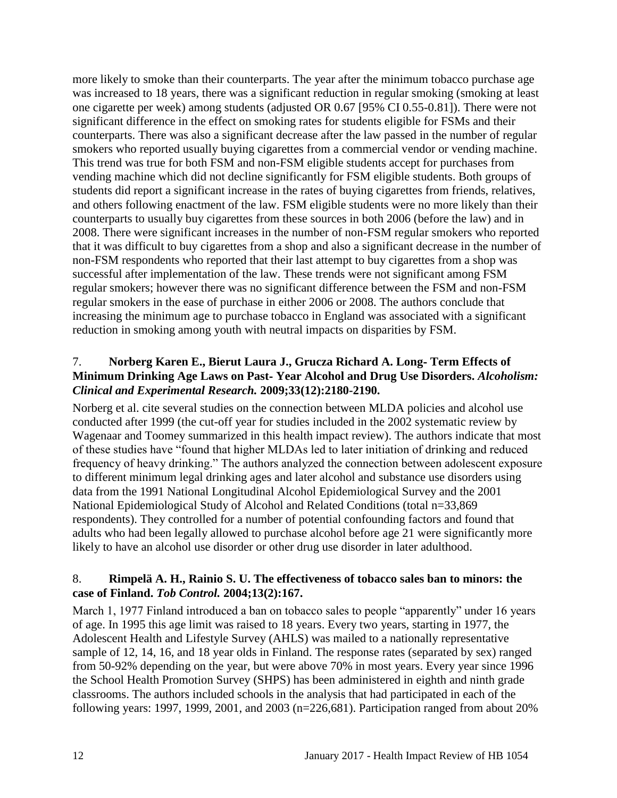more likely to smoke than their counterparts. The year after the minimum tobacco purchase age was increased to 18 years, there was a significant reduction in regular smoking (smoking at least one cigarette per week) among students (adjusted OR 0.67 [95% CI 0.55-0.81]). There were not significant difference in the effect on smoking rates for students eligible for FSMs and their counterparts. There was also a significant decrease after the law passed in the number of regular smokers who reported usually buying cigarettes from a commercial vendor or vending machine. This trend was true for both FSM and non-FSM eligible students accept for purchases from vending machine which did not decline significantly for FSM eligible students. Both groups of students did report a significant increase in the rates of buying cigarettes from friends, relatives, and others following enactment of the law. FSM eligible students were no more likely than their counterparts to usually buy cigarettes from these sources in both 2006 (before the law) and in 2008. There were significant increases in the number of non-FSM regular smokers who reported that it was difficult to buy cigarettes from a shop and also a significant decrease in the number of non-FSM respondents who reported that their last attempt to buy cigarettes from a shop was successful after implementation of the law. These trends were not significant among FSM regular smokers; however there was no significant difference between the FSM and non-FSM regular smokers in the ease of purchase in either 2006 or 2008. The authors conclude that increasing the minimum age to purchase tobacco in England was associated with a significant reduction in smoking among youth with neutral impacts on disparities by FSM.

# <span id="page-13-1"></span>7. **Norberg Karen E., Bierut Laura J., Grucza Richard A. Long**‐ **Term Effects of Minimum Drinking Age Laws on Past**‐ **Year Alcohol and Drug Use Disorders.** *Alcoholism: Clinical and Experimental Research.* **2009;33(12):2180-2190.**

Norberg et al. cite several studies on the connection between MLDA policies and alcohol use conducted after 1999 (the cut-off year for studies included in the 2002 systematic review by Wagenaar and Toomey summarized in this health impact review). The authors indicate that most of these studies have "found that higher MLDAs led to later initiation of drinking and reduced frequency of heavy drinking." The authors analyzed the connection between adolescent exposure to different minimum legal drinking ages and later alcohol and substance use disorders using data from the 1991 National Longitudinal Alcohol Epidemiological Survey and the 2001 National Epidemiological Study of Alcohol and Related Conditions (total n=33,869 respondents). They controlled for a number of potential confounding factors and found that adults who had been legally allowed to purchase alcohol before age 21 were significantly more likely to have an alcohol use disorder or other drug use disorder in later adulthood.

# <span id="page-13-0"></span>8. **Rimpelä A. H., Rainio S. U. The effectiveness of tobacco sales ban to minors: the case of Finland.** *Tob Control.* **2004;13(2):167.**

March 1, 1977 Finland introduced a ban on tobacco sales to people "apparently" under 16 years of age. In 1995 this age limit was raised to 18 years. Every two years, starting in 1977, the Adolescent Health and Lifestyle Survey (AHLS) was mailed to a nationally representative sample of 12, 14, 16, and 18 year olds in Finland. The response rates (separated by sex) ranged from 50-92% depending on the year, but were above 70% in most years. Every year since 1996 the School Health Promotion Survey (SHPS) has been administered in eighth and ninth grade classrooms. The authors included schools in the analysis that had participated in each of the following years: 1997, 1999, 2001, and 2003 (n=226,681). Participation ranged from about 20%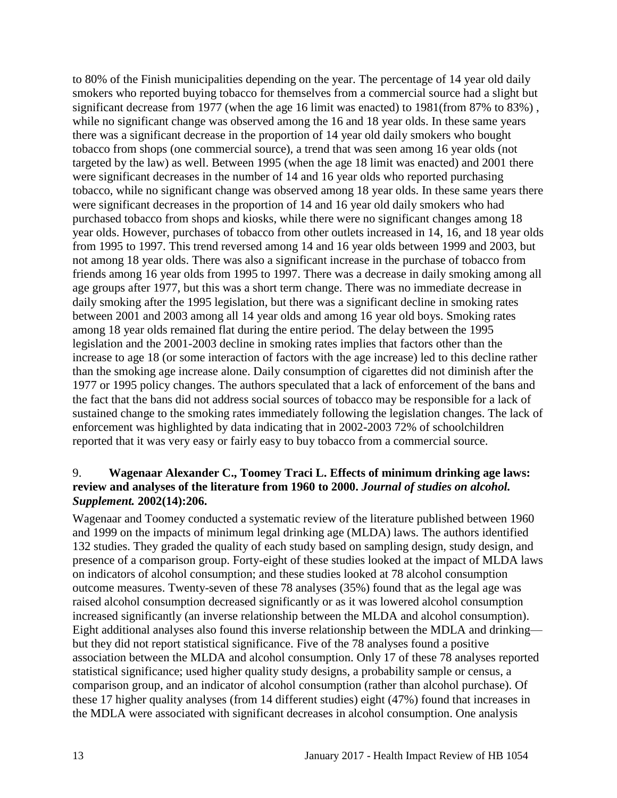to 80% of the Finish municipalities depending on the year. The percentage of 14 year old daily smokers who reported buying tobacco for themselves from a commercial source had a slight but significant decrease from 1977 (when the age 16 limit was enacted) to 1981(from 87% to 83%) , while no significant change was observed among the 16 and 18 year olds. In these same years there was a significant decrease in the proportion of 14 year old daily smokers who bought tobacco from shops (one commercial source), a trend that was seen among 16 year olds (not targeted by the law) as well. Between 1995 (when the age 18 limit was enacted) and 2001 there were significant decreases in the number of 14 and 16 year olds who reported purchasing tobacco, while no significant change was observed among 18 year olds. In these same years there were significant decreases in the proportion of 14 and 16 year old daily smokers who had purchased tobacco from shops and kiosks, while there were no significant changes among 18 year olds. However, purchases of tobacco from other outlets increased in 14, 16, and 18 year olds from 1995 to 1997. This trend reversed among 14 and 16 year olds between 1999 and 2003, but not among 18 year olds. There was also a significant increase in the purchase of tobacco from friends among 16 year olds from 1995 to 1997. There was a decrease in daily smoking among all age groups after 1977, but this was a short term change. There was no immediate decrease in daily smoking after the 1995 legislation, but there was a significant decline in smoking rates between 2001 and 2003 among all 14 year olds and among 16 year old boys. Smoking rates among 18 year olds remained flat during the entire period. The delay between the 1995 legislation and the 2001-2003 decline in smoking rates implies that factors other than the increase to age 18 (or some interaction of factors with the age increase) led to this decline rather than the smoking age increase alone. Daily consumption of cigarettes did not diminish after the 1977 or 1995 policy changes. The authors speculated that a lack of enforcement of the bans and the fact that the bans did not address social sources of tobacco may be responsible for a lack of sustained change to the smoking rates immediately following the legislation changes. The lack of enforcement was highlighted by data indicating that in 2002-2003 72% of schoolchildren reported that it was very easy or fairly easy to buy tobacco from a commercial source.

### <span id="page-14-0"></span>9. **Wagenaar Alexander C., Toomey Traci L. Effects of minimum drinking age laws: review and analyses of the literature from 1960 to 2000.** *Journal of studies on alcohol. Supplement.* **2002(14):206.**

Wagenaar and Toomey conducted a systematic review of the literature published between 1960 and 1999 on the impacts of minimum legal drinking age (MLDA) laws. The authors identified 132 studies. They graded the quality of each study based on sampling design, study design, and presence of a comparison group. Forty-eight of these studies looked at the impact of MLDA laws on indicators of alcohol consumption; and these studies looked at 78 alcohol consumption outcome measures. Twenty-seven of these 78 analyses (35%) found that as the legal age was raised alcohol consumption decreased significantly or as it was lowered alcohol consumption increased significantly (an inverse relationship between the MLDA and alcohol consumption). Eight additional analyses also found this inverse relationship between the MDLA and drinking but they did not report statistical significance. Five of the 78 analyses found a positive association between the MLDA and alcohol consumption. Only 17 of these 78 analyses reported statistical significance; used higher quality study designs, a probability sample or census, a comparison group, and an indicator of alcohol consumption (rather than alcohol purchase). Of these 17 higher quality analyses (from 14 different studies) eight (47%) found that increases in the MDLA were associated with significant decreases in alcohol consumption. One analysis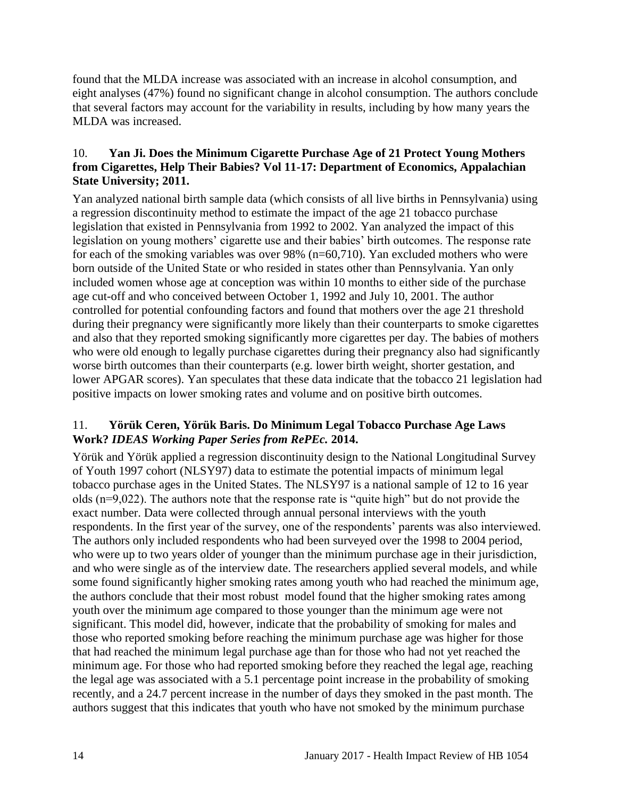found that the MLDA increase was associated with an increase in alcohol consumption, and eight analyses (47%) found no significant change in alcohol consumption. The authors conclude that several factors may account for the variability in results, including by how many years the MLDA was increased.

# <span id="page-15-0"></span>10. **Yan Ji. Does the Minimum Cigarette Purchase Age of 21 Protect Young Mothers from Cigarettes, Help Their Babies? Vol 11-17: Department of Economics, Appalachian State University; 2011.**

Yan analyzed national birth sample data (which consists of all live births in Pennsylvania) using a regression discontinuity method to estimate the impact of the age 21 tobacco purchase legislation that existed in Pennsylvania from 1992 to 2002. Yan analyzed the impact of this legislation on young mothers' cigarette use and their babies' birth outcomes. The response rate for each of the smoking variables was over 98% (n=60,710). Yan excluded mothers who were born outside of the United State or who resided in states other than Pennsylvania. Yan only included women whose age at conception was within 10 months to either side of the purchase age cut-off and who conceived between October 1, 1992 and July 10, 2001. The author controlled for potential confounding factors and found that mothers over the age 21 threshold during their pregnancy were significantly more likely than their counterparts to smoke cigarettes and also that they reported smoking significantly more cigarettes per day. The babies of mothers who were old enough to legally purchase cigarettes during their pregnancy also had significantly worse birth outcomes than their counterparts (e.g. lower birth weight, shorter gestation, and lower APGAR scores). Yan speculates that these data indicate that the tobacco 21 legislation had positive impacts on lower smoking rates and volume and on positive birth outcomes.

# <span id="page-15-1"></span>11. **Yörük Ceren, Yörük Baris. Do Minimum Legal Tobacco Purchase Age Laws Work?** *IDEAS Working Paper Series from RePEc.* **2014.**

Yörük and Yörük applied a regression discontinuity design to the National Longitudinal Survey of Youth 1997 cohort (NLSY97) data to estimate the potential impacts of minimum legal tobacco purchase ages in the United States. The NLSY97 is a national sample of 12 to 16 year olds (n=9,022). The authors note that the response rate is "quite high" but do not provide the exact number. Data were collected through annual personal interviews with the youth respondents. In the first year of the survey, one of the respondents' parents was also interviewed. The authors only included respondents who had been surveyed over the 1998 to 2004 period, who were up to two years older of younger than the minimum purchase age in their jurisdiction, and who were single as of the interview date. The researchers applied several models, and while some found significantly higher smoking rates among youth who had reached the minimum age, the authors conclude that their most robust model found that the higher smoking rates among youth over the minimum age compared to those younger than the minimum age were not significant. This model did, however, indicate that the probability of smoking for males and those who reported smoking before reaching the minimum purchase age was higher for those that had reached the minimum legal purchase age than for those who had not yet reached the minimum age. For those who had reported smoking before they reached the legal age, reaching the legal age was associated with a 5.1 percentage point increase in the probability of smoking recently, and a 24.7 percent increase in the number of days they smoked in the past month. The authors suggest that this indicates that youth who have not smoked by the minimum purchase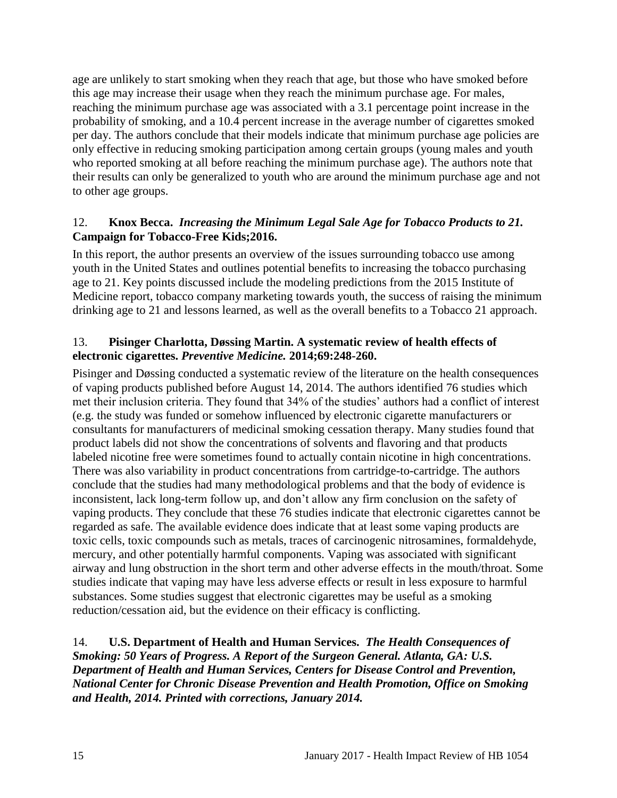age are unlikely to start smoking when they reach that age, but those who have smoked before this age may increase their usage when they reach the minimum purchase age. For males, reaching the minimum purchase age was associated with a 3.1 percentage point increase in the probability of smoking, and a 10.4 percent increase in the average number of cigarettes smoked per day. The authors conclude that their models indicate that minimum purchase age policies are only effective in reducing smoking participation among certain groups (young males and youth who reported smoking at all before reaching the minimum purchase age). The authors note that their results can only be generalized to youth who are around the minimum purchase age and not to other age groups.

# <span id="page-16-2"></span>12. **Knox Becca.** *Increasing the Minimum Legal Sale Age for Tobacco Products to 21.* **Campaign for Tobacco-Free Kids;2016.**

In this report, the author presents an overview of the issues surrounding tobacco use among youth in the United States and outlines potential benefits to increasing the tobacco purchasing age to 21. Key points discussed include the modeling predictions from the 2015 Institute of Medicine report, tobacco company marketing towards youth, the success of raising the minimum drinking age to 21 and lessons learned, as well as the overall benefits to a Tobacco 21 approach.

# <span id="page-16-0"></span>13. **Pisinger Charlotta, Døssing Martin. A systematic review of health effects of electronic cigarettes.** *Preventive Medicine.* **2014;69:248-260.**

Pisinger and Døssing conducted a systematic review of the literature on the health consequences of vaping products published before August 14, 2014. The authors identified 76 studies which met their inclusion criteria. They found that 34% of the studies' authors had a conflict of interest (e.g. the study was funded or somehow influenced by electronic cigarette manufacturers or consultants for manufacturers of medicinal smoking cessation therapy. Many studies found that product labels did not show the concentrations of solvents and flavoring and that products labeled nicotine free were sometimes found to actually contain nicotine in high concentrations. There was also variability in product concentrations from cartridge-to-cartridge. The authors conclude that the studies had many methodological problems and that the body of evidence is inconsistent, lack long-term follow up, and don't allow any firm conclusion on the safety of vaping products. They conclude that these 76 studies indicate that electronic cigarettes cannot be regarded as safe. The available evidence does indicate that at least some vaping products are toxic cells, toxic compounds such as metals, traces of carcinogenic nitrosamines, formaldehyde, mercury, and other potentially harmful components. Vaping was associated with significant airway and lung obstruction in the short term and other adverse effects in the mouth/throat. Some studies indicate that vaping may have less adverse effects or result in less exposure to harmful substances. Some studies suggest that electronic cigarettes may be useful as a smoking reduction/cessation aid, but the evidence on their efficacy is conflicting.

<span id="page-16-1"></span>14. **U.S. Department of Health and Human Services.** *The Health Consequences of Smoking: 50 Years of Progress. A Report of the Surgeon General. Atlanta, GA: U.S. Department of Health and Human Services, Centers for Disease Control and Prevention, National Center for Chronic Disease Prevention and Health Promotion, Office on Smoking and Health, 2014. Printed with corrections, January 2014.*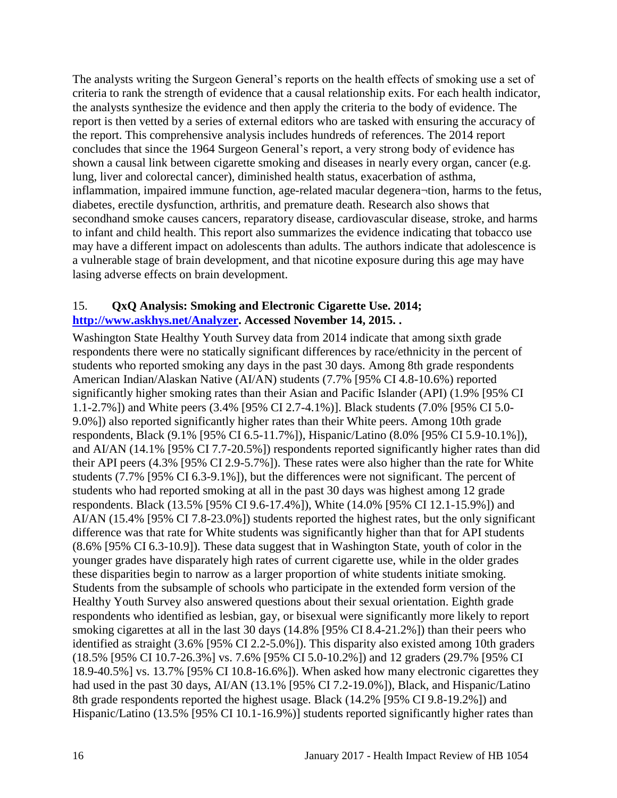The analysts writing the Surgeon General's reports on the health effects of smoking use a set of criteria to rank the strength of evidence that a causal relationship exits. For each health indicator, the analysts synthesize the evidence and then apply the criteria to the body of evidence. The report is then vetted by a series of external editors who are tasked with ensuring the accuracy of the report. This comprehensive analysis includes hundreds of references. The 2014 report concludes that since the 1964 Surgeon General's report, a very strong body of evidence has shown a causal link between cigarette smoking and diseases in nearly every organ, cancer (e.g. lung, liver and colorectal cancer), diminished health status, exacerbation of asthma, inflammation, impaired immune function, age-related macular degenera¬tion, harms to the fetus, diabetes, erectile dysfunction, arthritis, and premature death. Research also shows that secondhand smoke causes cancers, reparatory disease, cardiovascular disease, stroke, and harms to infant and child health. This report also summarizes the evidence indicating that tobacco use may have a different impact on adolescents than adults. The authors indicate that adolescence is a vulnerable stage of brain development, and that nicotine exposure during this age may have lasing adverse effects on brain development.

### <span id="page-17-0"></span>15. **QxQ Analysis: Smoking and Electronic Cigarette Use. 2014; [http://www.askhys.net/Analyzer.](http://www.askhys.net/Analyzer) Accessed November 14, 2015. .**

Washington State Healthy Youth Survey data from 2014 indicate that among sixth grade respondents there were no statically significant differences by race/ethnicity in the percent of students who reported smoking any days in the past 30 days. Among 8th grade respondents American Indian/Alaskan Native (AI/AN) students (7.7% [95% CI 4.8-10.6%) reported significantly higher smoking rates than their Asian and Pacific Islander (API) (1.9% [95% CI 1.1-2.7%]) and White peers (3.4% [95% CI 2.7-4.1%)]. Black students (7.0% [95% CI 5.0- 9.0%]) also reported significantly higher rates than their White peers. Among 10th grade respondents, Black (9.1% [95% CI 6.5-11.7%]), Hispanic/Latino (8.0% [95% CI 5.9-10.1%]), and AI/AN (14.1% [95% CI 7.7-20.5%]) respondents reported significantly higher rates than did their API peers (4.3% [95% CI 2.9-5.7%]). These rates were also higher than the rate for White students (7.7% [95% CI 6.3-9.1%]), but the differences were not significant. The percent of students who had reported smoking at all in the past 30 days was highest among 12 grade respondents. Black (13.5% [95% CI 9.6-17.4%]), White (14.0% [95% CI 12.1-15.9%]) and AI/AN (15.4% [95% CI 7.8-23.0%]) students reported the highest rates, but the only significant difference was that rate for White students was significantly higher than that for API students (8.6% [95% CI 6.3-10.9]). These data suggest that in Washington State, youth of color in the younger grades have disparately high rates of current cigarette use, while in the older grades these disparities begin to narrow as a larger proportion of white students initiate smoking. Students from the subsample of schools who participate in the extended form version of the Healthy Youth Survey also answered questions about their sexual orientation. Eighth grade respondents who identified as lesbian, gay, or bisexual were significantly more likely to report smoking cigarettes at all in the last 30 days (14.8% [95% CI 8.4-21.2%]) than their peers who identified as straight (3.6% [95% CI 2.2-5.0%]). This disparity also existed among 10th graders (18.5% [95% CI 10.7-26.3%] vs. 7.6% [95% CI 5.0-10.2%]) and 12 graders (29.7% [95% CI 18.9-40.5%] vs. 13.7% [95% CI 10.8-16.6%]). When asked how many electronic cigarettes they had used in the past 30 days, AI/AN (13.1% [95% CI 7.2-19.0%]), Black, and Hispanic/Latino 8th grade respondents reported the highest usage. Black (14.2% [95% CI 9.8-19.2%]) and Hispanic/Latino (13.5% [95% CI 10.1-16.9%)] students reported significantly higher rates than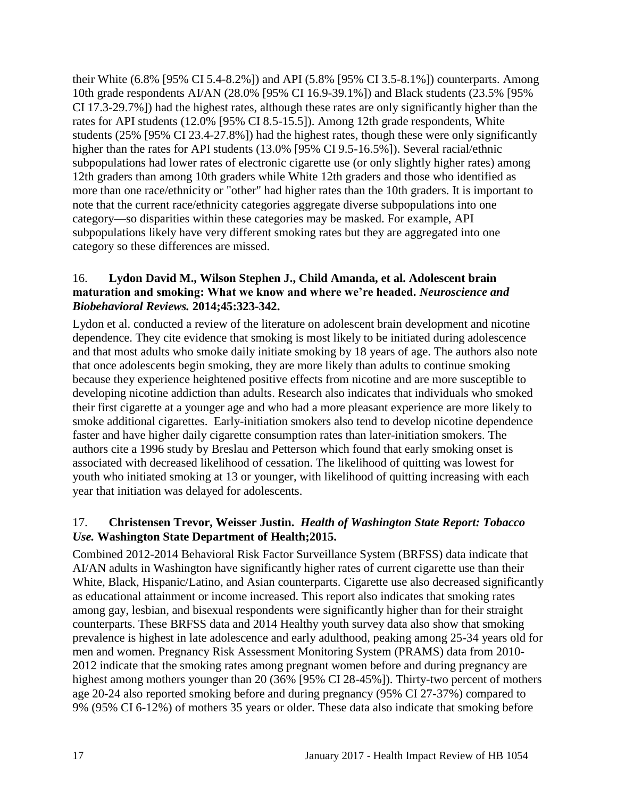their White (6.8% [95% CI 5.4-8.2%]) and API (5.8% [95% CI 3.5-8.1%]) counterparts. Among 10th grade respondents AI/AN (28.0% [95% CI 16.9-39.1%]) and Black students (23.5% [95% CI 17.3-29.7%]) had the highest rates, although these rates are only significantly higher than the rates for API students (12.0% [95% CI 8.5-15.5]). Among 12th grade respondents, White students (25% [95% CI 23.4-27.8%]) had the highest rates, though these were only significantly higher than the rates for API students (13.0% [95% CI 9.5-16.5%]). Several racial/ethnic subpopulations had lower rates of electronic cigarette use (or only slightly higher rates) among 12th graders than among 10th graders while White 12th graders and those who identified as more than one race/ethnicity or "other" had higher rates than the 10th graders. It is important to note that the current race/ethnicity categories aggregate diverse subpopulations into one category—so disparities within these categories may be masked. For example, API subpopulations likely have very different smoking rates but they are aggregated into one category so these differences are missed.

# <span id="page-18-0"></span>16. **Lydon David M., Wilson Stephen J., Child Amanda, et al. Adolescent brain maturation and smoking: What we know and where we're headed.** *Neuroscience and Biobehavioral Reviews.* **2014;45:323-342.**

Lydon et al. conducted a review of the literature on adolescent brain development and nicotine dependence. They cite evidence that smoking is most likely to be initiated during adolescence and that most adults who smoke daily initiate smoking by 18 years of age. The authors also note that once adolescents begin smoking, they are more likely than adults to continue smoking because they experience heightened positive effects from nicotine and are more susceptible to developing nicotine addiction than adults. Research also indicates that individuals who smoked their first cigarette at a younger age and who had a more pleasant experience are more likely to smoke additional cigarettes. Early-initiation smokers also tend to develop nicotine dependence faster and have higher daily cigarette consumption rates than later-initiation smokers. The authors cite a 1996 study by Breslau and Petterson which found that early smoking onset is associated with decreased likelihood of cessation. The likelihood of quitting was lowest for youth who initiated smoking at 13 or younger, with likelihood of quitting increasing with each year that initiation was delayed for adolescents.

# <span id="page-18-1"></span>17. **Christensen Trevor, Weisser Justin.** *Health of Washington State Report: Tobacco Use.* **Washington State Department of Health;2015.**

Combined 2012-2014 Behavioral Risk Factor Surveillance System (BRFSS) data indicate that AI/AN adults in Washington have significantly higher rates of current cigarette use than their White, Black, Hispanic/Latino, and Asian counterparts. Cigarette use also decreased significantly as educational attainment or income increased. This report also indicates that smoking rates among gay, lesbian, and bisexual respondents were significantly higher than for their straight counterparts. These BRFSS data and 2014 Healthy youth survey data also show that smoking prevalence is highest in late adolescence and early adulthood, peaking among 25-34 years old for men and women. Pregnancy Risk Assessment Monitoring System (PRAMS) data from 2010- 2012 indicate that the smoking rates among pregnant women before and during pregnancy are highest among mothers younger than 20 (36% [95% CI 28-45%]). Thirty-two percent of mothers age 20-24 also reported smoking before and during pregnancy (95% CI 27-37%) compared to 9% (95% CI 6-12%) of mothers 35 years or older. These data also indicate that smoking before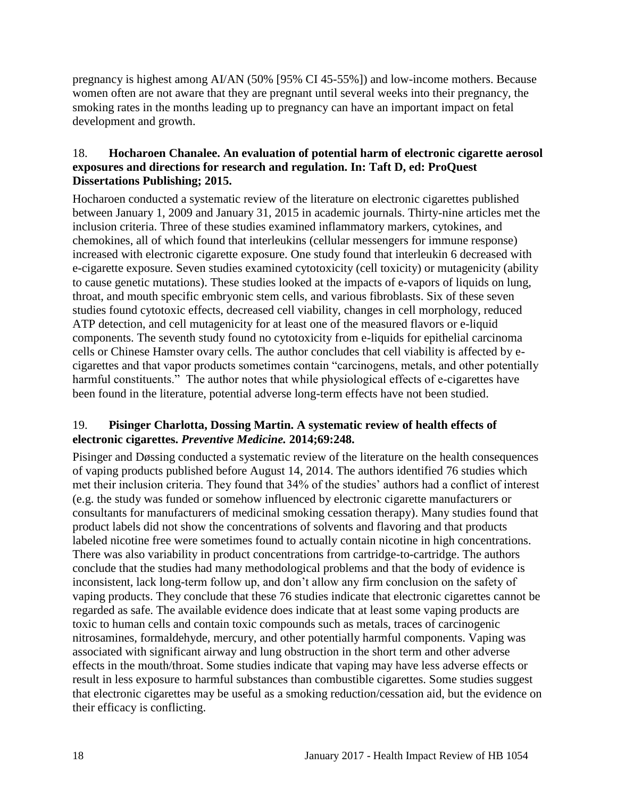pregnancy is highest among AI/AN (50% [95% CI 45-55%]) and low-income mothers. Because women often are not aware that they are pregnant until several weeks into their pregnancy, the smoking rates in the months leading up to pregnancy can have an important impact on fetal development and growth.

#### <span id="page-19-0"></span>18. **Hocharoen Chanalee. An evaluation of potential harm of electronic cigarette aerosol exposures and directions for research and regulation. In: Taft D, ed: ProQuest Dissertations Publishing; 2015.**

Hocharoen conducted a systematic review of the literature on electronic cigarettes published between January 1, 2009 and January 31, 2015 in academic journals. Thirty-nine articles met the inclusion criteria. Three of these studies examined inflammatory markers, cytokines, and chemokines, all of which found that interleukins (cellular messengers for immune response) increased with electronic cigarette exposure. One study found that interleukin 6 decreased with e-cigarette exposure. Seven studies examined cytotoxicity (cell toxicity) or mutagenicity (ability to cause genetic mutations). These studies looked at the impacts of e-vapors of liquids on lung, throat, and mouth specific embryonic stem cells, and various fibroblasts. Six of these seven studies found cytotoxic effects, decreased cell viability, changes in cell morphology, reduced ATP detection, and cell mutagenicity for at least one of the measured flavors or e-liquid components. The seventh study found no cytotoxicity from e-liquids for epithelial carcinoma cells or Chinese Hamster ovary cells. The author concludes that cell viability is affected by ecigarettes and that vapor products sometimes contain "carcinogens, metals, and other potentially harmful constituents." The author notes that while physiological effects of e-cigarettes have been found in the literature, potential adverse long-term effects have not been studied.

# <span id="page-19-1"></span>19. **Pisinger Charlotta, Dossing Martin. A systematic review of health effects of electronic cigarettes.** *Preventive Medicine.* **2014;69:248.**

Pisinger and Døssing conducted a systematic review of the literature on the health consequences of vaping products published before August 14, 2014. The authors identified 76 studies which met their inclusion criteria. They found that 34% of the studies' authors had a conflict of interest (e.g. the study was funded or somehow influenced by electronic cigarette manufacturers or consultants for manufacturers of medicinal smoking cessation therapy). Many studies found that product labels did not show the concentrations of solvents and flavoring and that products labeled nicotine free were sometimes found to actually contain nicotine in high concentrations. There was also variability in product concentrations from cartridge-to-cartridge. The authors conclude that the studies had many methodological problems and that the body of evidence is inconsistent, lack long-term follow up, and don't allow any firm conclusion on the safety of vaping products. They conclude that these 76 studies indicate that electronic cigarettes cannot be regarded as safe. The available evidence does indicate that at least some vaping products are toxic to human cells and contain toxic compounds such as metals, traces of carcinogenic nitrosamines, formaldehyde, mercury, and other potentially harmful components. Vaping was associated with significant airway and lung obstruction in the short term and other adverse effects in the mouth/throat. Some studies indicate that vaping may have less adverse effects or result in less exposure to harmful substances than combustible cigarettes. Some studies suggest that electronic cigarettes may be useful as a smoking reduction/cessation aid, but the evidence on their efficacy is conflicting.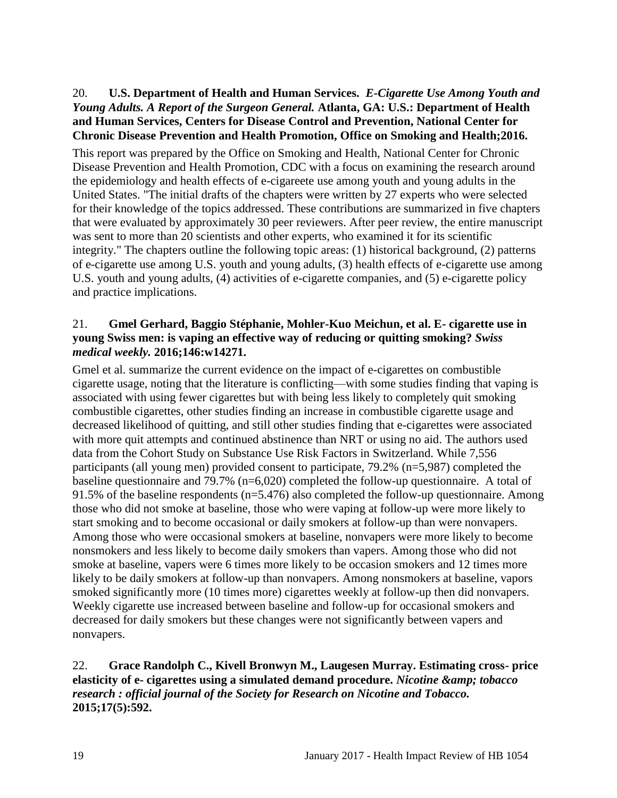# <span id="page-20-0"></span>20. **U.S. Department of Health and Human Services.** *E-Cigarette Use Among Youth and Young Adults. A Report of the Surgeon General.* **Atlanta, GA: U.S.: Department of Health and Human Services, Centers for Disease Control and Prevention, National Center for Chronic Disease Prevention and Health Promotion, Office on Smoking and Health;2016.**

This report was prepared by the Office on Smoking and Health, National Center for Chronic Disease Prevention and Health Promotion, CDC with a focus on examining the research around the epidemiology and health effects of e-cigareete use among youth and young adults in the United States. "The initial drafts of the chapters were written by 27 experts who were selected for their knowledge of the topics addressed. These contributions are summarized in five chapters that were evaluated by approximately 30 peer reviewers. After peer review, the entire manuscript was sent to more than 20 scientists and other experts, who examined it for its scientific integrity." The chapters outline the following topic areas: (1) historical background, (2) patterns of e-cigarette use among U.S. youth and young adults, (3) health effects of e-cigarette use among U.S. youth and young adults, (4) activities of e-cigarette companies, and (5) e-cigarette policy and practice implications.

### <span id="page-20-1"></span>21. **Gmel Gerhard, Baggio Stéphanie, Mohler-Kuo Meichun, et al. E- cigarette use in young Swiss men: is vaping an effective way of reducing or quitting smoking?** *Swiss medical weekly.* **2016;146:w14271.**

Gmel et al. summarize the current evidence on the impact of e-cigarettes on combustible cigarette usage, noting that the literature is conflicting—with some studies finding that vaping is associated with using fewer cigarettes but with being less likely to completely quit smoking combustible cigarettes, other studies finding an increase in combustible cigarette usage and decreased likelihood of quitting, and still other studies finding that e-cigarettes were associated with more quit attempts and continued abstinence than NRT or using no aid. The authors used data from the Cohort Study on Substance Use Risk Factors in Switzerland. While 7,556 participants (all young men) provided consent to participate, 79.2% (n=5,987) completed the baseline questionnaire and 79.7% (n=6,020) completed the follow-up questionnaire. A total of 91.5% of the baseline respondents (n=5.476) also completed the follow-up questionnaire. Among those who did not smoke at baseline, those who were vaping at follow-up were more likely to start smoking and to become occasional or daily smokers at follow-up than were nonvapers. Among those who were occasional smokers at baseline, nonvapers were more likely to become nonsmokers and less likely to become daily smokers than vapers. Among those who did not smoke at baseline, vapers were 6 times more likely to be occasion smokers and 12 times more likely to be daily smokers at follow-up than nonvapers. Among nonsmokers at baseline, vapors smoked significantly more (10 times more) cigarettes weekly at follow-up then did nonvapers. Weekly cigarette use increased between baseline and follow-up for occasional smokers and decreased for daily smokers but these changes were not significantly between vapers and nonvapers.

# 22. **Grace Randolph C., Kivell Bronwyn M., Laugesen Murray. Estimating cross- price elasticity of e- cigarettes using a simulated demand procedure.** *Nicotine & tobacco research : official journal of the Society for Research on Nicotine and Tobacco.*  **2015;17(5):592.**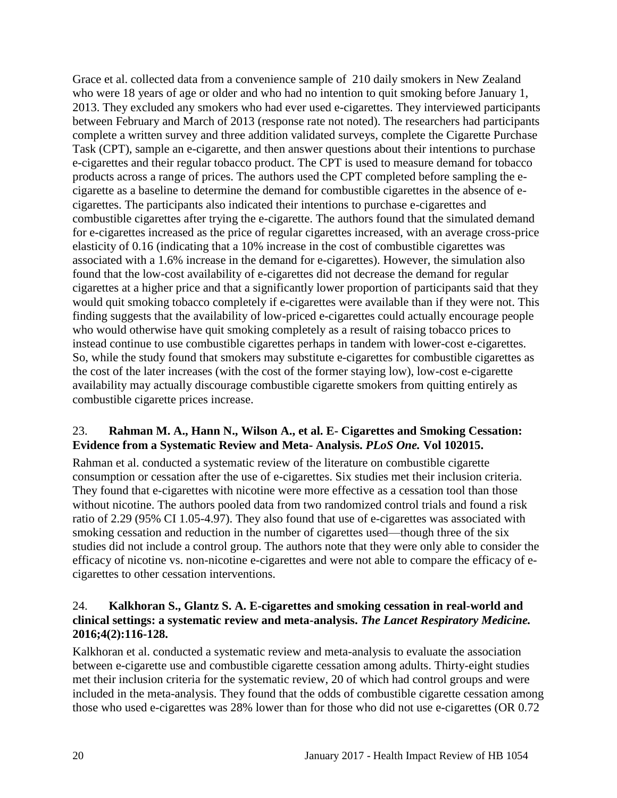Grace et al. collected data from a convenience sample of 210 daily smokers in New Zealand who were 18 years of age or older and who had no intention to quit smoking before January 1, 2013. They excluded any smokers who had ever used e-cigarettes. They interviewed participants between February and March of 2013 (response rate not noted). The researchers had participants complete a written survey and three addition validated surveys, complete the Cigarette Purchase Task (CPT), sample an e-cigarette, and then answer questions about their intentions to purchase e-cigarettes and their regular tobacco product. The CPT is used to measure demand for tobacco products across a range of prices. The authors used the CPT completed before sampling the ecigarette as a baseline to determine the demand for combustible cigarettes in the absence of ecigarettes. The participants also indicated their intentions to purchase e-cigarettes and combustible cigarettes after trying the e-cigarette. The authors found that the simulated demand for e-cigarettes increased as the price of regular cigarettes increased, with an average cross-price elasticity of 0.16 (indicating that a 10% increase in the cost of combustible cigarettes was associated with a 1.6% increase in the demand for e-cigarettes). However, the simulation also found that the low-cost availability of e-cigarettes did not decrease the demand for regular cigarettes at a higher price and that a significantly lower proportion of participants said that they would quit smoking tobacco completely if e-cigarettes were available than if they were not. This finding suggests that the availability of low-priced e-cigarettes could actually encourage people who would otherwise have quit smoking completely as a result of raising tobacco prices to instead continue to use combustible cigarettes perhaps in tandem with lower-cost e-cigarettes. So, while the study found that smokers may substitute e-cigarettes for combustible cigarettes as the cost of the later increases (with the cost of the former staying low), low-cost e-cigarette availability may actually discourage combustible cigarette smokers from quitting entirely as combustible cigarette prices increase.

# 23. **Rahman M. A., Hann N., Wilson A., et al. E- Cigarettes and Smoking Cessation: Evidence from a Systematic Review and Meta- Analysis.** *PLoS One.* **Vol 102015.**

Rahman et al. conducted a systematic review of the literature on combustible cigarette consumption or cessation after the use of e-cigarettes. Six studies met their inclusion criteria. They found that e-cigarettes with nicotine were more effective as a cessation tool than those without nicotine. The authors pooled data from two randomized control trials and found a risk ratio of 2.29 (95% CI 1.05-4.97). They also found that use of e-cigarettes was associated with smoking cessation and reduction in the number of cigarettes used—though three of the six studies did not include a control group. The authors note that they were only able to consider the efficacy of nicotine vs. non-nicotine e-cigarettes and were not able to compare the efficacy of ecigarettes to other cessation interventions.

# <span id="page-21-0"></span>24. **Kalkhoran S., Glantz S. A. E-cigarettes and smoking cessation in real-world and clinical settings: a systematic review and meta-analysis.** *The Lancet Respiratory Medicine.*  **2016;4(2):116-128.**

Kalkhoran et al. conducted a systematic review and meta-analysis to evaluate the association between e-cigarette use and combustible cigarette cessation among adults. Thirty-eight studies met their inclusion criteria for the systematic review, 20 of which had control groups and were included in the meta-analysis. They found that the odds of combustible cigarette cessation among those who used e-cigarettes was 28% lower than for those who did not use e-cigarettes (OR 0.72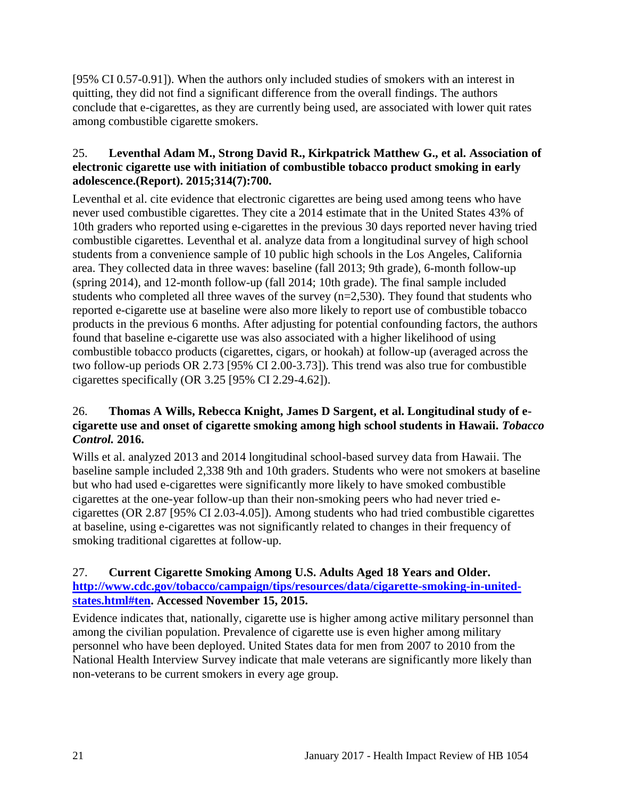[95% CI 0.57-0.91]). When the authors only included studies of smokers with an interest in quitting, they did not find a significant difference from the overall findings. The authors conclude that e-cigarettes, as they are currently being used, are associated with lower quit rates among combustible cigarette smokers.

# <span id="page-22-0"></span>25. **Leventhal Adam M., Strong David R., Kirkpatrick Matthew G., et al. Association of electronic cigarette use with initiation of combustible tobacco product smoking in early adolescence.(Report). 2015;314(7):700.**

Leventhal et al. cite evidence that electronic cigarettes are being used among teens who have never used combustible cigarettes. They cite a 2014 estimate that in the United States 43% of 10th graders who reported using e-cigarettes in the previous 30 days reported never having tried combustible cigarettes. Leventhal et al. analyze data from a longitudinal survey of high school students from a convenience sample of 10 public high schools in the Los Angeles, California area. They collected data in three waves: baseline (fall 2013; 9th grade), 6-month follow-up (spring 2014), and 12-month follow-up (fall 2014; 10th grade). The final sample included students who completed all three waves of the survey (n=2,530). They found that students who reported e-cigarette use at baseline were also more likely to report use of combustible tobacco products in the previous 6 months. After adjusting for potential confounding factors, the authors found that baseline e-cigarette use was also associated with a higher likelihood of using combustible tobacco products (cigarettes, cigars, or hookah) at follow-up (averaged across the two follow-up periods OR 2.73 [95% CI 2.00-3.73]). This trend was also true for combustible cigarettes specifically (OR 3.25 [95% CI 2.29-4.62]).

# <span id="page-22-1"></span>26. **Thomas A Wills, Rebecca Knight, James D Sargent, et al. Longitudinal study of ecigarette use and onset of cigarette smoking among high school students in Hawaii.** *Tobacco Control.* **2016.**

Wills et al. analyzed 2013 and 2014 longitudinal school-based survey data from Hawaii. The baseline sample included 2,338 9th and 10th graders. Students who were not smokers at baseline but who had used e-cigarettes were significantly more likely to have smoked combustible cigarettes at the one-year follow-up than their non-smoking peers who had never tried ecigarettes (OR 2.87 [95% CI 2.03-4.05]). Among students who had tried combustible cigarettes at baseline, using e-cigarettes was not significantly related to changes in their frequency of smoking traditional cigarettes at follow-up.

# <span id="page-22-2"></span>27. **Current Cigarette Smoking Among U.S. Adults Aged 18 Years and Older. [http://www.cdc.gov/tobacco/campaign/tips/resources/data/cigarette-smoking-in-united](http://www.cdc.gov/tobacco/campaign/tips/resources/data/cigarette-smoking-in-united-states.html#ten)[states.html#ten.](http://www.cdc.gov/tobacco/campaign/tips/resources/data/cigarette-smoking-in-united-states.html#ten) Accessed November 15, 2015.**

Evidence indicates that, nationally, cigarette use is higher among active military personnel than among the civilian population. Prevalence of cigarette use is even higher among military personnel who have been deployed. United States data for men from 2007 to 2010 from the National Health Interview Survey indicate that male veterans are significantly more likely than non-veterans to be current smokers in every age group.